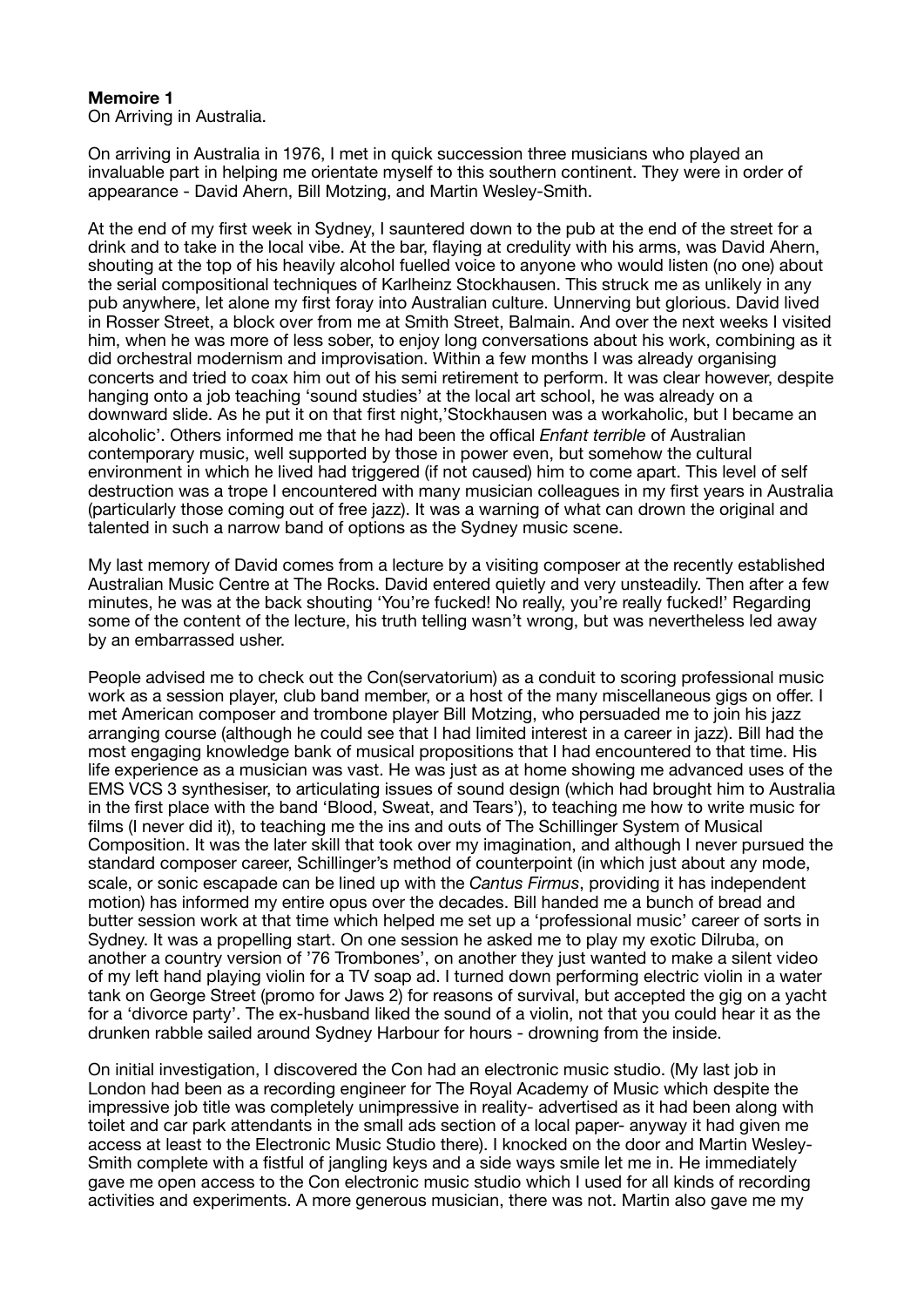## **Memoire 1**

On Arriving in Australia.

On arriving in Australia in 1976, I met in quick succession three musicians who played an invaluable part in helping me orientate myself to this southern continent. They were in order of appearance - David Ahern, Bill Motzing, and Martin Wesley-Smith.

At the end of my first week in Sydney, I sauntered down to the pub at the end of the street for a drink and to take in the local vibe. At the bar, flaying at credulity with his arms, was David Ahern, shouting at the top of his heavily alcohol fuelled voice to anyone who would listen (no one) about the serial compositional techniques of Karlheinz Stockhausen. This struck me as unlikely in any pub anywhere, let alone my first foray into Australian culture. Unnerving but glorious. David lived in Rosser Street, a block over from me at Smith Street, Balmain. And over the next weeks I visited him, when he was more of less sober, to enjoy long conversations about his work, combining as it did orchestral modernism and improvisation. Within a few months I was already organising concerts and tried to coax him out of his semi retirement to perform. It was clear however, despite hanging onto a job teaching 'sound studies' at the local art school, he was already on a downward slide. As he put it on that first night,'Stockhausen was a workaholic, but I became an alcoholic'. Others informed me that he had been the offical *Enfant terrible* of Australian contemporary music, well supported by those in power even, but somehow the cultural environment in which he lived had triggered (if not caused) him to come apart. This level of self destruction was a trope I encountered with many musician colleagues in my first years in Australia (particularly those coming out of free jazz). It was a warning of what can drown the original and talented in such a narrow band of options as the Sydney music scene.

My last memory of David comes from a lecture by a visiting composer at the recently established Australian Music Centre at The Rocks. David entered quietly and very unsteadily. Then after a few minutes, he was at the back shouting 'You're fucked! No really, you're really fucked!' Regarding some of the content of the lecture, his truth telling wasn't wrong, but was nevertheless led away by an embarrassed usher.

People advised me to check out the Con(servatorium) as a conduit to scoring professional music work as a session player, club band member, or a host of the many miscellaneous gigs on offer. I met American composer and trombone player Bill Motzing, who persuaded me to join his jazz arranging course (although he could see that I had limited interest in a career in jazz). Bill had the most engaging knowledge bank of musical propositions that I had encountered to that time. His life experience as a musician was vast. He was just as at home showing me advanced uses of the EMS VCS 3 synthesiser, to articulating issues of sound design (which had brought him to Australia in the first place with the band 'Blood, Sweat, and Tears'), to teaching me how to write music for films (I never did it), to teaching me the ins and outs of The Schillinger System of Musical Composition. It was the later skill that took over my imagination, and although I never pursued the standard composer career, Schillinger's method of counterpoint (in which just about any mode, scale, or sonic escapade can be lined up with the *Cantus Firmus*, providing it has independent motion) has informed my entire opus over the decades. Bill handed me a bunch of bread and butter session work at that time which helped me set up a 'professional music' career of sorts in Sydney. It was a propelling start. On one session he asked me to play my exotic Dilruba, on another a country version of '76 Trombones', on another they just wanted to make a silent video of my left hand playing violin for a TV soap ad. I turned down performing electric violin in a water tank on George Street (promo for Jaws 2) for reasons of survival, but accepted the gig on a yacht for a 'divorce party'. The ex-husband liked the sound of a violin, not that you could hear it as the drunken rabble sailed around Sydney Harbour for hours - drowning from the inside.

On initial investigation, I discovered the Con had an electronic music studio. (My last job in London had been as a recording engineer for The Royal Academy of Music which despite the impressive job title was completely unimpressive in reality- advertised as it had been along with toilet and car park attendants in the small ads section of a local paper- anyway it had given me access at least to the Electronic Music Studio there). I knocked on the door and Martin Wesley-Smith complete with a fistful of jangling keys and a side ways smile let me in. He immediately gave me open access to the Con electronic music studio which I used for all kinds of recording activities and experiments. A more generous musician, there was not. Martin also gave me my